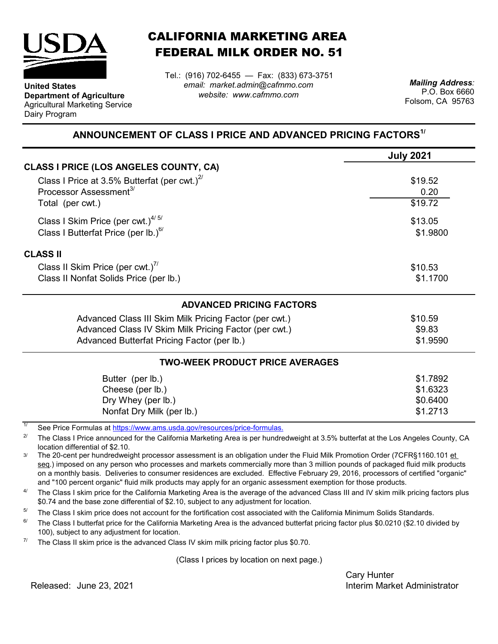

**Department of Agriculture** Agricultural Marketing Service

**United States**

Dairy Program

CALIFORNIA MARKETING AREA FEDERAL MILK ORDER NO. 51

Tel.: (916) 702-6455 — Fax: (833) 673-3751 *email: market.admin@cafmmo.com website: www.cafmmo.com*

*Mailing Address:* P.O. Box 6660 Folsom, CA 95763

## **ANNOUNCEMENT OF CLASS I PRICE AND ADVANCED PRICING FACTORS1/**

|                                                               | <b>July 2021</b> |
|---------------------------------------------------------------|------------------|
| CLASS I PRICE (LOS ANGELES COUNTY, CA)                        |                  |
| Class I Price at 3.5% Butterfat (per cwt.) $2^{\prime\prime}$ | \$19.52          |
| Processor Assessment <sup>3/</sup>                            | 0.20             |
| Total (per cwt.)                                              | \$19.72          |
| Class I Skim Price (per cwt.) <sup>4/5/</sup>                 | \$13.05          |
| Class I Butterfat Price (per lb.) $^{6/}$                     | \$1.9800         |
| <b>CLASS II</b>                                               |                  |
| Class II Skim Price (per cwt.)"                               | \$10.53          |
| Class II Nonfat Solids Price (per lb.)                        | \$1.1700         |
| <b>ADVANCED PRICING FACTORS</b>                               |                  |
| Advanced Class III Skim Milk Pricing Factor (per cwt.)        | \$10.59          |
| Advanced Class IV Skim Milk Pricing Factor (per cwt.)         | \$9.83           |
| Advanced Butterfat Pricing Factor (per lb.)                   | \$1.9590         |
| <b>TWO-WEEK PRODUCT PRICE AVERAGES</b>                        |                  |
| Butter (per lb.)                                              | \$1.7892         |
| Cheese (per lb.)                                              | \$1.6323         |
| Dry Whey (per lb.)                                            | \$0.6400         |
| Nonfat Dry Milk (per lb.)                                     | \$1.2713         |

1/ [See Price Formulas at h](https://www.ams.usda.gov/resources/price-formulas)ttps://www.ams.usda.gov/resources/price-formulas.

2/ The Class I Price announced for the California Marketing Area is per hundredweight at 3.5% butterfat at the Los Angeles County, CA location differential of \$2.10.

3/ The 20-cent per hundredweight processor assessment is an obligation under the Fluid Milk Promotion Order (7CFR§1160.101 et seq.) imposed on any person who processes and markets commercially more than 3 million pounds of packaged fluid milk products on a monthly basis. Deliveries to consumer residences are excluded. Effective February 29, 2016, processors of certified "organic" and "100 percent organic" fluid milk products may apply for an organic assessment exemption for those products.

 $\Delta l$ The Class I skim price for the California Marketing Area is the average of the advanced Class III and IV skim milk pricing factors plus \$0.74 and the base zone differential of \$2.10, subject to any adjustment for location.

5/ The Class I skim price does not account for the fortification cost associated with the California Minimum Solids Standards.

 $6/$ The Class I butterfat price for the California Marketing Area is the advanced butterfat pricing factor plus \$0.0210 (\$2.10 divided by 100), subject to any adjustment for location.

7/ The Class II skim price is the advanced Class IV skim milk pricing factor plus \$0.70.

(Class I prices by location on next page.)

Cary Hunter Interim Market Administrator

Released: June 23, 2021